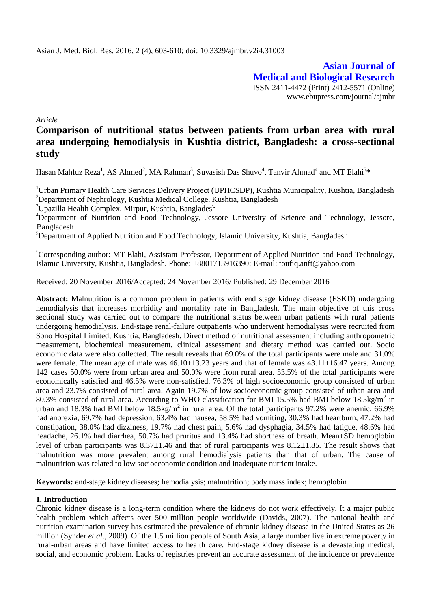**Asian Journal of Medical and Biological Research** ISSN 2411-4472 (Print) 2412-5571 (Online) www.ebupress.com/journal/ajmbr

*Article*

# **Comparison of nutritional status between patients from urban area with rural area undergoing hemodialysis in Kushtia district, Bangladesh: a cross-sectional study**

Hasan Mahfuz Reza<sup>1</sup>, AS Ahmed<sup>2</sup>, MA Rahman<sup>3</sup>, Suvasish Das Shuvo<sup>4</sup>, Tanvir Ahmad<sup>4</sup> and MT Elahi<sup>5\*</sup>

<sup>1</sup>Urban Primary Health Care Services Delivery Project (UPHCSDP), Kushtia Municipality, Kushtia, Bangladesh <sup>2</sup>Department of Nephrology, Kushtia Medical College, Kushtia, Bangladesh

<sup>3</sup>Upazilla Health Complex, Mirpur, Kushtia, Bangladesh

<sup>4</sup>Department of Nutrition and Food Technology, Jessore University of Science and Technology, Jessore, Bangladesh

<sup>5</sup>Department of Applied Nutrition and Food Technology, Islamic University, Kushtia, Bangladesh

\*Corresponding author: MT Elahi, Assistant Professor, Department of Applied Nutrition and Food Technology, Islamic University, Kushtia, Bangladesh. Phone: +8801713916390; E-mail: toufiq.anft@yahoo.com

Received: 20 November 2016/Accepted: 24 November 2016/ Published: 29 December 2016

**Abstract:** Malnutrition is a common problem in patients with end stage kidney disease (ESKD) undergoing hemodialysis that increases morbidity and mortality rate in Bangladesh. The main objective of this cross sectional study was carried out to compare the nutritional status between urban patients with rural patients undergoing hemodialysis. End-stage renal-failure outpatients who underwent hemodialysis were recruited from Sono Hospital Limited, Kushtia, Bangladesh. Direct method of nutritional assessment including anthropometric measurement, biochemical measurement, clinical assessment and dietary method was carried out. Socio economic data were also collected. The result reveals that 69.0% of the total participants were male and 31.0% were female. The mean age of male was  $46.10\pm13.23$  years and that of female was  $43.11\pm16.47$  years. Among 142 cases 50.0% were from urban area and 50.0% were from rural area. 53.5% of the total participants were economically satisfied and 46.5% were non-satisfied. 76.3% of high socioeconomic group consisted of urban area and 23.7% consisted of rural area. Again 19.7% of low socioeconomic group consisted of urban area and 80.3% consisted of rural area. According to WHO classification for BMI 15.5% had BMI below 18.5kg/m<sup>2</sup> in urban and 18.3% had BMI below 18.5kg/m<sup>2</sup> in rural area. Of the total participants 97.2% were anemic, 66.9% had anorexia, 69.7% had depression, 63.4% had nausea, 58.5% had vomiting, 30.3% had heartburn, 47.2% had constipation, 38.0% had dizziness, 19.7% had chest pain, 5.6% had dysphagia, 34.5% had fatigue, 48.6% had headache, 26.1% had diarrhea, 50.7% had pruritus and 13.4% had shortness of breath. Mean $\pm$ SD hemoglobin level of urban participants was  $8.37\pm1.46$  and that of rural participants was  $8.12\pm1.85$ . The result shows that malnutrition was more prevalent among rural hemodialysis patients than that of urban. The cause of malnutrition was related to low socioeconomic condition and inadequate nutrient intake.

**Keywords:** end-stage kidney diseases; hemodialysis; malnutrition; body mass index; hemoglobin

# **1. Introduction**

Chronic kidney disease is a long-term condition where the kidneys do not work effectively. It a major public health problem which affects over 500 million people worldwide (Davids, 2007). The national health and nutrition examination survey has estimated the prevalence of chronic kidney disease in the United States as 26 million (Synder *et al*., 2009). Of the 1.5 million people of South Asia, a large number live in extreme poverty in rural-urban areas and have limited access to health care. End-stage kidney disease is a devastating medical, social, and economic problem. Lacks of registries prevent an accurate assessment of the incidence or prevalence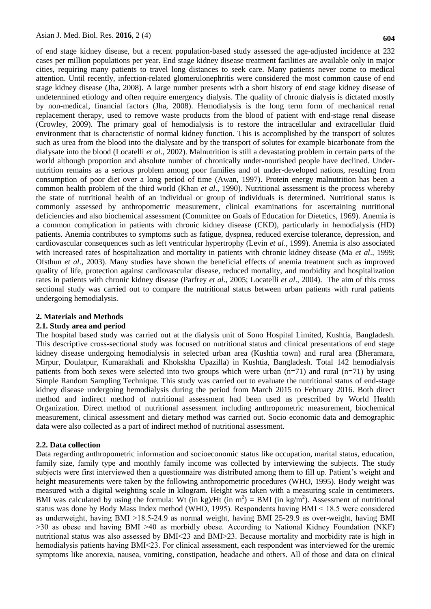of end stage kidney disease, but a recent population-based study assessed the age-adjusted incidence at 232 cases per million populations per year. End stage kidney disease treatment facilities are available only in major cities, requiring many patients to travel long distances to seek care. Many patients never come to medical attention. Until recently, [infection-](http://europepmc.org/abstract/med/19484871/?whatizit_url=http://europepmc.org/search/?page=1&query=%22infection%22)related [glomerulonephritis](http://europepmc.org/abstract/med/19484871/?whatizit_url=http://europepmc.org/search/?page=1&query=%22glomerulonephritides%22) were considered the most common cause of end stage kidney disease (Jha, 2008). A large number presents with a short history of end stage kidney disease of undetermined etiology and often require emergency dialysis. The quality of chronic dialysis is dictated mostly by non-medical, financial factors (Jha, 2008). Hemodialysis is the long term form of mechanical renal replacement therapy, used to remove waste products from the blood of patient with end-stage renal disease (Crowley, 2009). The primary goal of hemodialysis is to restore the intracellular and extracellular fluid environment that is characteristic of normal kidney function. This is accomplished by the transport of solutes such as urea from the blood into the dialysate and by the transport of solutes for example bicarbonate from the dialysate into the blood (Locatelli *et al*., 2002). Malnutrition is still a devastating problem in certain parts of the world although proportion and absolute number of chronically under-nourished people have declined. Undernutrition remains as a serious problem among poor families and of under-developed nations, resulting from consumption of poor diet over a long period of time (Awan, 1997). Protein energy malnutrition has been a common health problem of the third world (Khan *et al*., 1990). Nutritional assessment is the process whereby the state of nutritional health of an individual or group of individuals is determined. Nutritional status is commonly assessed by anthropometric measurement, clinical examinations for ascertaining nutritional deficiencies and also biochemical assessment (Committee on Goals of Education for Dietetics, 1969). Anemia is a common complication in patients with chronic kidney disease (CKD), particularly in hemodialysis (HD) patients. Anemia contributes to symptoms such as fatigue, dyspnea, reduced exercise tolerance, depression, and cardiovascular consequences such as left ventricular hypertrophy (Levin *et al*., 1999). Anemia is also associated with increased rates of hospitalization and mortality in patients with chronic kidney disease (Ma *et al*., 1999; Ofsthun *et al*., 2003). Many studies have shown the beneficial effects of anemia treatment such as improved quality of life, protection against cardiovascular disease, reduced mortality, and morbidity and hospitalization rates in patients with chronic kidney disease (Parfrey *et al*., 2005; Locatelli *et al*., 2004). The aim of this cross sectional study was carried out to compare the nutritional status between urban patients with rural patients undergoing hemodialysis.

## **2. Materials and Methods**

#### **2.1. Study area and period**

The hospital based study was carried out at the dialysis unit of Sono Hospital Limited, Kushtia, Bangladesh. This descriptive cross-sectional study was focused on nutritional status and clinical presentations of end stage kidney disease undergoing hemodialysis in selected urban area (Kushtia town) and rural area (Bheramara, Mirpur, Doulatpur, Kumarakhali and Khokskha Upazilla) in Kushtia, Bangladesh. Total 142 hemodialysis patients from both sexes were selected into two groups which were urban (n=71) and rural (n=71) by using Simple Random Sampling Technique. This study was carried out to evaluate the nutritional status of end-stage kidney disease undergoing hemodialysis during the period from March 2015 to February 2016. Both direct method and indirect method of nutritional assessment had been used as prescribed by World Health Organization. Direct method of nutritional assessment including anthropometric measurement, biochemical measurement, clinical assessment and dietary method was carried out. Socio economic data and demographic data were also collected as a part of indirect method of nutritional assessment.

#### **2.2. Data collection**

Data regarding anthropometric information and socioeconomic status like occupation, marital status, education, family size, family type and monthly family income was collected by interviewing the subjects. The study subjects were first interviewed then a questionnaire was distributed among them to fill up. Patient's weight and height measurements were taken by the following anthropometric procedures (WHO, 1995). Body weight was measured with a digital weighting scale in kilogram. Height was taken with a measuring scale in centimeters. BMI was calculated by using the formula: Wt (in kg)/Ht (in m<sup>2</sup>) = BMI (in kg/m<sup>2</sup>). Assessment of nutritional status was done by Body Mass Index method (WHO, 1995). Respondents having BMI ˂ 18.5 were considered as underweight, having BMI ˃18.5-24.9 as normal weight, having BMI 25-29.9 as over-weight, having BMI ˃30 as obese and having BMI ˃40 as morbidly obese. According to National Kidney Foundation (NKF) nutritional status was also assessed by BMI<23 and BMI>23. Because mortality and morbidity rate is high in hemodialysis patients having BMI<23. For clinical assessment, each respondent was interviewed for the uremic symptoms like anorexia, nausea, vomiting, constipation, headache and others. All of those and data on clinical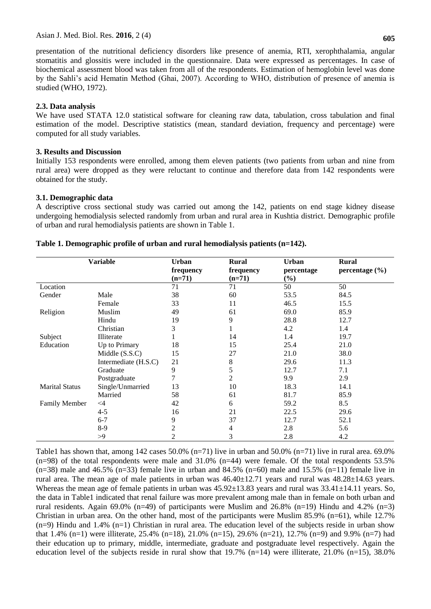presentation of the nutritional deficiency disorders like presence of anemia, RTI, xerophthalamia, angular stomatitis and glossitis were included in the questionnaire. Data were expressed as percentages. In case of biochemical assessment blood was taken from all of the respondents. Estimation of hemoglobin level was done by the Sahli's acid Hematin Method (Ghai, 2007). According to WHO, distribution of presence of anemia is studied (WHO, 1972).

## **2.3. Data analysis**

We have used STATA 12.0 statistical software for cleaning raw data, tabulation, cross tabulation and final estimation of the model. Descriptive statistics (mean, standard deviation, frequency and percentage) were computed for all study variables.

## **3. Results and Discussion**

Initially 153 respondents were enrolled, among them eleven patients (two patients from urban and nine from rural area) were dropped as they were reluctant to continue and therefore data from 142 respondents were obtained for the study.

## **3.1. Demographic data**

A descriptive cross sectional study was carried out among the 142, patients on end stage kidney disease undergoing hemodialysis selected randomly from urban and rural area in Kushtia district. Demographic profile of urban and rural hemodialysis patients are shown in Table 1.

| <b>Variable</b>       |                      | Urban          | <b>Rural</b> | <b>Urban</b> | <b>Rural</b>       |
|-----------------------|----------------------|----------------|--------------|--------------|--------------------|
|                       |                      | frequency      | frequency    | percentage   | percentage $(\% )$ |
|                       |                      | $(n=71)$       | $(n=71)$     | $(\%)$       |                    |
| Location              |                      | 71             | 71           | 50           | 50                 |
| Gender                | Male                 | 38             | 60           | 53.5         | 84.5               |
|                       | Female               | 33             | 11           | 46.5         | 15.5               |
| Religion              | Muslim               | 49             | 61           | 69.0         | 85.9               |
|                       | Hindu                | 19             | 9            | 28.8         | 12.7               |
|                       | Christian            | 3              |              | 4.2          | 1.4                |
| Subject               | Illiterate           |                | 14           | 1.4          | 19.7               |
| Education             | Up to Primary        | 18             | 15           | 25.4         | 21.0               |
|                       | Middle $(S.S.C)$     | 15             | 27           | 21.0         | 38.0               |
|                       | Intermediate (H.S.C) | 21             | 8            | 29.6         | 11.3               |
|                       | Graduate             | 9              | 5            | 12.7         | 7.1                |
|                       | Postgraduate         | 7              | 2            | 9.9          | 2.9                |
| <b>Marital Status</b> | Single/Unmarried     | 13             | 10           | 18.3         | 14.1               |
|                       | Married              | 58             | 61           | 81.7         | 85.9               |
| <b>Family Member</b>  | $\leq 4$             | 42             | 6            | 59.2         | 8.5                |
|                       | $4 - 5$              | 16             | 21           | 22.5         | 29.6               |
|                       | $6 - 7$              | 9              | 37           | 12.7         | 52.1               |
|                       | $8-9$                | $\overline{c}$ | 4            | 2.8          | 5.6                |
|                       | >9                   | 2              | 3            | 2.8          | 4.2                |

## **Table 1. Demographic profile of urban and rural hemodialysis patients (n=142).**

Table1 has shown that, among 142 cases 50.0% (n=71) live in urban and 50.0% (n=71) live in rural area. 69.0%  $(n=98)$  of the total respondents were male and 31.0%  $(n=44)$  were female. Of the total respondents 53.5%  $(n=38)$  male and 46.5%  $(n=33)$  female live in urban and 84.5%  $(n=60)$  male and 15.5%  $(n=11)$  female live in rural area. The mean age of male patients in urban was  $46.40\pm12.71$  years and rural was  $48.28\pm14.63$  years. Whereas the mean age of female patients in urban was  $45.92\pm13.83$  years and rural was  $33.41\pm14.11$  years. So, the data in Table1 indicated that renal failure was more prevalent among male than in female on both urban and rural residents. Again 69.0% (n=49) of participants were Muslim and 26.8% (n=19) Hindu and 4.2% (n=3) Christian in urban area. On the other hand, most of the participants were Muslim 85.9% (n=61), while 12.7% (n=9) Hindu and 1.4% (n=1) Christian in rural area. The education level of the subjects reside in urban show that 1.4% (n=1) were illiterate, 25.4% (n=18), 21.0% (n=15), 29.6% (n=21), 12.7% (n=9) and 9.9% (n=7) had their education up to primary, middle, intermediate, graduate and postgraduate level respectively. Again the education level of the subjects reside in rural show that  $19.7\%$  (n=14) were illiterate, 21.0% (n=15), 38.0%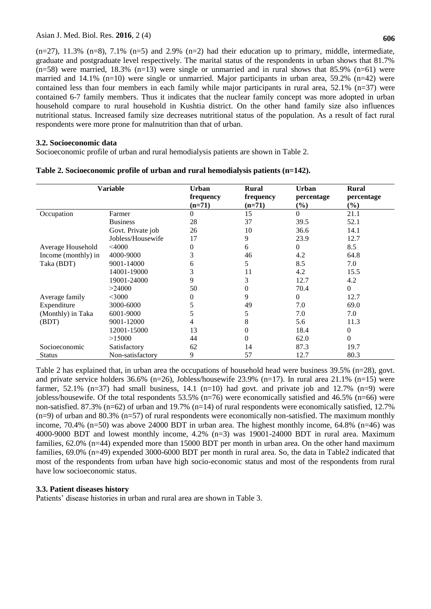$(n=27)$ , 11.3%  $(n=8)$ , 7.1%  $(n=5)$  and 2.9%  $(n=2)$  had their education up to primary, middle, intermediate, graduate and postgraduate level respectively. The marital status of the respondents in urban shows that 81.7%  $(n=58)$  were married, 18.3%  $(n=13)$  were single or unmarried and in rural shows that 85.9%  $(n=61)$  were married and 14.1% (n=10) were single or unmarried. Major participants in urban area, 59.2% (n=42) were contained less than four members in each family while major participants in rural area,  $52.1\%$  (n=37) were contained 6-7 family members. Thus it indicates that the nuclear family concept was more adopted in urban household compare to rural household in Kushtia district. On the other hand family size also influences nutritional status. Increased family size decreases nutritional status of the population. As a result of fact rural respondents were more prone for malnutrition than that of urban.

## **3.2. Socioeconomic data**

Socioeconomic profile of urban and rural hemodialysis patients are shown in Table 2.

| <b>Variable</b>     |                   | <b>Urban</b><br>frequency<br>$(n=71)$ | <b>Rural</b><br>frequency<br>$(n=71)$ | <b>Urban</b><br>percentage<br>$(\%)$ | <b>Rural</b><br>percentage<br>$(\%)$ |
|---------------------|-------------------|---------------------------------------|---------------------------------------|--------------------------------------|--------------------------------------|
| Occupation          | Farmer            | $\theta$                              | 15                                    | 0                                    | 21.1                                 |
|                     | <b>Business</b>   | 28                                    | 37                                    | 39.5                                 | 52.1                                 |
|                     | Govt. Private job | 26                                    | 10                                    | 36.6                                 | 14.1                                 |
|                     | Jobless/Housewife | 17                                    | 9                                     | 23.9                                 | 12.7                                 |
| Average Household   | $<$ 4000          | $\Omega$                              | 6                                     | 0                                    | 8.5                                  |
| Income (monthly) in | 4000-9000         | 3                                     | 46                                    | 4.2                                  | 64.8                                 |
| Taka (BDT)          | 9001-14000        | 6                                     | 5                                     | 8.5                                  | 7.0                                  |
|                     | 14001-19000       | 3                                     | 11                                    | 4.2                                  | 15.5                                 |
|                     | 19001-24000       | 9                                     | 3                                     | 12.7                                 | 4.2                                  |
|                     | >24000            | 50                                    | 0                                     | 70.4                                 | $\Omega$                             |
| Average family      | $<$ 3000          | $\theta$                              | 9                                     | 0                                    | 12.7                                 |
| Expenditure         | 3000-6000         | 5                                     | 49                                    | 7.0                                  | 69.0                                 |
| (Monthly) in Taka   | 6001-9000         | 5                                     | 5                                     | 7.0                                  | 7.0                                  |
| (BDT)               | 9001-12000        | 4                                     | 8                                     | 5.6                                  | 11.3                                 |
|                     | 12001-15000       | 13                                    | 0                                     | 18.4                                 | 0                                    |
|                     | >15000            | 44                                    | 0                                     | 62.0                                 | 0                                    |
| Socioeconomic       | Satisfactory      | 62                                    | 14                                    | 87.3                                 | 19.7                                 |
| Status              | Non-satisfactory  | 9                                     | 57                                    | 12.7                                 | 80.3                                 |

**Table 2. Socioeconomic profile of urban and rural hemodialysis patients (n=142).**

Table 2 has explained that, in urban area the occupations of household head were business 39.5% (n=28), govt. and private service holders 36.6% (n=26), Jobless/housewife 23.9% (n=17). In rural area 21.1% (n=15) were farmer, 52.1% (n=37) had small business, 14.1 (n=10) had govt. and private job and 12.7% (n=9) were jobless/housewife. Of the total respondents 53.5% (n=76) were economically satisfied and 46.5% (n=66) were non-satisfied. 87.3% (n=62) of urban and 19.7% (n=14) of rural respondents were economically satisfied, 12.7%  $(n=9)$  of urban and 80.3%  $(n=57)$  of rural respondents were economically non-satisfied. The maximum monthly income, 70.4% (n=50) was above 24000 BDT in urban area. The highest monthly income, 64.8% (n=46) was 4000-9000 BDT and lowest monthly income, 4.2% (n=3) was 19001-24000 BDT in rural area. Maximum families, 62.0% (n=44) expended more than 15000 BDT per month in urban area. On the other hand maximum families, 69.0% (n=49) expended 3000-6000 BDT per month in rural area. So, the data in Table2 indicated that most of the respondents from urban have high socio-economic status and most of the respondents from rural have low socioeconomic status.

# **3.3. Patient diseases history**

Patients' disease histories in urban and rural area are shown in Table 3.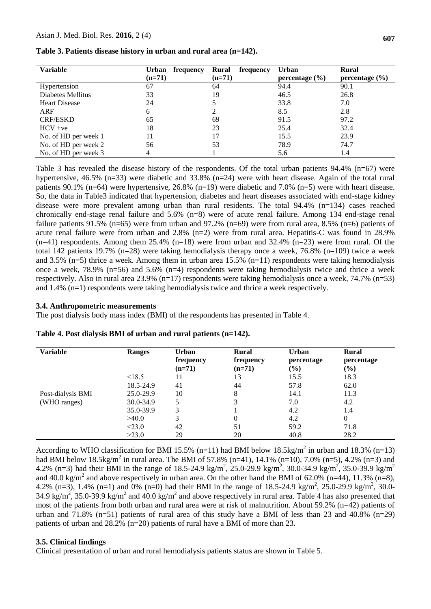| <b>Variable</b>      | Urban<br>frequency | Rural<br>frequency | <b>Urban</b>       | <b>Rural</b>       |
|----------------------|--------------------|--------------------|--------------------|--------------------|
|                      | $(n=71)$           | $(n=71)$           | percentage $(\% )$ | percentage $(\% )$ |
| Hypertension         | 67                 | 64                 | 94.4               | 90.1               |
| Diabetes Mellitus    | 33                 | 19                 | 46.5               | 26.8               |
| <b>Heart Disease</b> | 24                 |                    | 33.8               | 7.0                |
| ARF                  | 6                  |                    | 8.5                | 2.8                |
| <b>CRF/ESKD</b>      | 65                 | 69                 | 91.5               | 97.2               |
| $HCV + ve$           | 18                 | 23                 | 25.4               | 32.4               |
| No. of HD per week 1 | 11                 | 17                 | 15.5               | 23.9               |
| No. of HD per week 2 | 56                 | 53                 | 78.9               | 74.7               |
| No. of HD per week 3 | 4                  |                    | 5.6                | 1.4                |

**Table 3. Patients disease history in urban and rural area (n=142).**

Table 3 has revealed the disease history of the respondents. Of the total urban patients  $94.4\%$  (n=67) were hypertensive, 46.5% (n=33) were diabetic and 33.8% (n=24) were with heart disease. Again of the total rural patients 90.1% (n=64) were hypertensive, 26.8% (n=19) were diabetic and 7.0% (n=5) were with heart disease. So, the data in Table3 indicated that hypertension, diabetes and heart diseases associated with end-stage kidney disease were more prevalent among urban than rural residents. The total 94.4% (n=134) cases reached chronically end-stage renal failure and 5.6% (n=8) were of acute renal failure. Among 134 end-stage renal failure patients 91.5% (n=65) were from urban and 97.2% (n=69) were from rural area, 8.5% (n=6) patients of acute renal failure were from urban and 2.8% (n=2) were from rural area. Hepatitis-C was found in 28.9%  $(n=41)$  respondents. Among them 25.4%  $(n=18)$  were from urban and 32.4%  $(n=23)$  were from rural. Of the total 142 patients 19.7% (n=28) were taking hemodialysis therapy once a week, 76.8% (n=109) twice a week and 3.5% ( $n=5$ ) thrice a week. Among them in urban area 15.5% ( $n=11$ ) respondents were taking hemodialysis once a week, 78.9% (n=56) and 5.6% (n=4) respondents were taking hemodialysis twice and thrice a week respectively. Also in rural area 23.9% (n=17) respondents were taking hemodialysis once a week, 74.7% (n=53) and 1.4% (n=1) respondents were taking hemodialysis twice and thrice a week respectively.

#### **3.4. Anthropometric measurements**

The post dialysis body mass index (BMI) of the respondents has presented in Table 4.

| <b>Variable</b>   | <b>Ranges</b> | <b>Urban</b><br>frequency<br>$(n=71)$ | Rural<br>frequency<br>$(n=71)$ | <b>Urban</b><br>percentage<br>$(\%)$ | Rural<br>percentage<br>$(\%)$ |
|-------------------|---------------|---------------------------------------|--------------------------------|--------------------------------------|-------------------------------|
|                   | < 18.5        | 11                                    | 13                             | 15.5                                 | 18.3                          |
|                   | 18.5-24.9     | 41                                    | 44                             | 57.8                                 | 62.0                          |
| Post-dialysis BMI | 25.0-29.9     | 10                                    | 8                              | 14.1                                 | 11.3                          |
| (WHO ranges)      | 30.0-34.9     |                                       | 3                              | 7.0                                  | 4.2                           |
|                   | 35.0-39.9     | 3                                     |                                | 4.2                                  | 1.4                           |
|                   | >40.0         | 3                                     |                                | 4.2                                  | $\theta$                      |
|                   | < 23.0        | 42                                    | 51                             | 59.2                                 | 71.8                          |
|                   | >23.0         | 29                                    | 20                             | 40.8                                 | 28.2                          |

**Table 4. Post dialysis BMI of urban and rural patients (n=142).**

According to WHO classification for BMI 15.5% (n=11) had BMI below 18.5kg/m<sup>2</sup> in urban and 18.3% (n=13) had BMI below 18.5kg/m<sup>2</sup> in rural area. The BMI of 57.8% (n=41), 14.1% (n=10), 7.0% (n=5), 4.2% (n=3) and 4.2% (n=3) had their BMI in the range of 18.5-24.9 kg/m<sup>2</sup>, 25.0-29.9 kg/m<sup>2</sup>, 30.0-34.9 kg/m<sup>2</sup>, 35.0-39.9 kg/m<sup>2</sup> and 40.0 kg/m<sup>2</sup> and above respectively in urban area. On the other hand the BMI of 62.0% (n=44), 11.3% (n=8), 4.2% (n=3), 1.4% (n=1) and 0% (n=0) had their BMI in the range of 18.5-24.9 kg/m<sup>2</sup>, 25.0-29.9 kg/m<sup>2</sup>, 30.0-34.9 kg/m<sup>2</sup>, 35.0-39.9 kg/m<sup>2</sup> and 40.0 kg/m<sup>2</sup> and above respectively in rural area. Table 4 has also presented that most of the patients from both urban and rural area were at risk of malnutrition. About 59.2% (n=42) patients of urban and 71.8% (n=51) patients of rural area of this study have a BMI of less than 23 and 40.8% (n=29) patients of urban and 28.2% (n=20) patients of rural have a BMI of more than 23.

## **3.5. Clinical findings**

Clinical presentation of urban and rural hemodialysis patients status are shown in Table 5.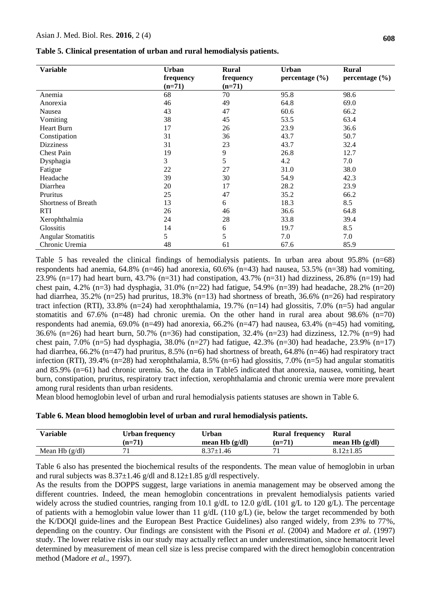| Table 5. Clinical presentation of urban and rural hemodialysis patients. |  |  |  |  |  |
|--------------------------------------------------------------------------|--|--|--|--|--|
|--------------------------------------------------------------------------|--|--|--|--|--|

| <b>Variable</b>            | <b>Urban</b> | <b>Rural</b> | <b>Urban</b>       | <b>Rural</b>       |
|----------------------------|--------------|--------------|--------------------|--------------------|
|                            | frequency    | frequency    | percentage $(\% )$ | percentage $(\% )$ |
|                            | $(n=71)$     | $(n=71)$     |                    |                    |
| Anemia                     | 68           | 70           | 95.8               | 98.6               |
| Anorexia                   | 46           | 49           | 64.8               | 69.0               |
| Nausea                     | 43           | 47           | 60.6               | 66.2               |
| Vomiting                   | 38           | 45           | 53.5               | 63.4               |
| <b>Heart Burn</b>          | 17           | 26           | 23.9               | 36.6               |
| Constipation               | 31           | 36           | 43.7               | 50.7               |
| <b>Dizziness</b>           | 31           | 23           | 43.7               | 32.4               |
| <b>Chest Pain</b>          | 19           | 9            | 26.8               | 12.7               |
| Dysphagia                  | 3            | 5            | 4.2                | 7.0                |
| Fatigue                    | 22           | 27           | 31.0               | 38.0               |
| Headache                   | 39           | 30           | 54.9               | 42.3               |
| Diarrhea                   | 20           | 17           | 28.2               | 23.9               |
| Pruritus                   | 25           | 47           | 35.2               | 66.2               |
| <b>Shortness of Breath</b> | 13           | 6            | 18.3               | 8.5                |
| RTI                        | 26           | 46           | 36.6               | 64.8               |
| Xerophthalmia              | 24           | 28           | 33.8               | 39.4               |
| Glossitis                  | 14           | 6            | 19.7               | 8.5                |
| <b>Angular Stomatitis</b>  | 5            | 5            | 7.0                | 7.0                |
| Chronic Uremia             | 48           | 61           | 67.6               | 85.9               |

Table 5 has revealed the clinical findings of hemodialysis patients. In urban area about 95.8% (n=68) respondents had anemia, 64.8% (n=46) had anorexia, 60.6% (n=43) had nausea, 53.5% (n=38) had vomiting, 23.9% (n=17) had heart burn, 43.7% (n=31) had constipation, 43.7% (n=31) had dizziness, 26.8% (n=19) had chest pain, 4.2% (n=3) had dysphagia, 31.0% (n=22) had fatigue, 54.9% (n=39) had headache, 28.2% (n=20) had diarrhea, 35.2% (n=25) had pruritus, 18.3% (n=13) had shortness of breath, 36.6% (n=26) had respiratory tract infection (RTI), 33.8% (n=24) had xerophthalamia, 19.7% (n=14) had glossitis, 7.0% (n=5) had angular stomatitis and  $67.6\%$  (n=48) had chronic uremia. On the other hand in rural area about 98.6% (n=70) respondents had anemia, 69.0% (n=49) had anorexia, 66.2% (n=47) had nausea, 63.4% (n=45) had vomiting, 36.6% (n=26) had heart burn, 50.7% (n=36) had constipation, 32.4% (n=23) had dizziness, 12.7% (n=9) had chest pain, 7.0% (n=5) had dysphagia, 38.0% (n=27) had fatigue, 42.3% (n=30) had headache, 23.9% (n=17) had diarrhea, 66.2% (n=47) had pruritus, 8.5% (n=6) had shortness of breath, 64.8% (n=46) had respiratory tract infection (RTI), 39.4% (n=28) had xerophthalamia, 8.5% (n=6) had glossitis, 7.0% (n=5) had angular stomatitis and 85.9% (n=61) had chronic uremia. So, the data in Table5 indicated that anorexia, nausea, vomiting, heart burn, constipation, pruritus, respiratory tract infection, xerophthalamia and chronic uremia were more prevalent among rural residents than urban residents.

Mean blood hemoglobin level of urban and rural hemodialysis patients statuses are shown in Table 6.

|  | Table 6. Mean blood hemoglobin level of urban and rural hemodialysis patients. |  |  |  |
|--|--------------------------------------------------------------------------------|--|--|--|
|  |                                                                                |  |  |  |

| Variable         | Urban frequency | Urban             | <b>Rural frequency</b> | Rural             |
|------------------|-----------------|-------------------|------------------------|-------------------|
|                  | $(n=71)$        | mean H $b$ (g/dl) | $(n=71)$               | mean H $b$ (g/dl) |
| Mean Hb $(g/dl)$ |                 | 8.37±1.46         |                        | $8.12 \pm 1.85$   |

Table 6 also has presented the biochemical results of the respondents. The mean value of hemoglobin in urban and rural subjects was  $8.37\pm1.46$  g/dl and  $8.12\pm1.85$  g/dl respectively.

As the results from the DOPPS suggest, large variations in anemia management may be observed among the different countries. Indeed, the mean hemoglobin concentrations in prevalent hemodialysis patients varied widely across the studied countries, ranging from 10.1 g/dL to 12.0 g/dL (101 g/L to 120 g/L). The percentage of patients with a hemoglobin value lower than 11 g/dL (110 g/L) (ie, below the target recommended by both the K/DOQI guide-lines and the European Best Practice Guidelines) also ranged widely, from 23% to 77%, depending on the country. Our findings are consistent with the Pisoni *et al*. (2004) and Madore *et al*. (1997) study. The lower relative risks in our study may actually reflect an under underestimation, since hematocrit level determined by measurement of mean cell size is less precise compared with the direct hemoglobin concentration method (Madore *et al*., 1997).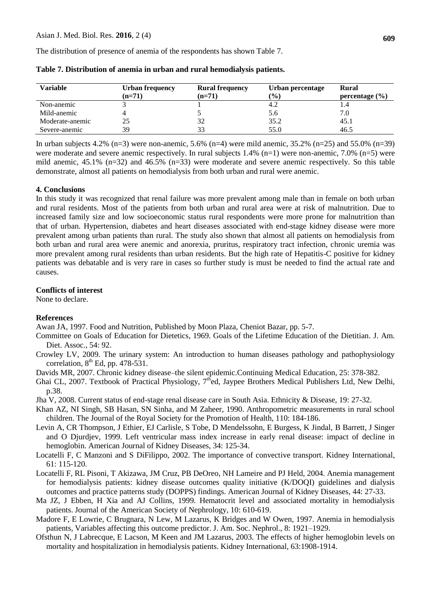The distribution of presence of anemia of the respondents has shown Table 7.

| <b>Variable</b> | Urban frequency | <b>Rural frequency</b> | Urban percentage | Rural              |
|-----------------|-----------------|------------------------|------------------|--------------------|
|                 | $(n=71)$        | $(n=71)$               | $($ %)           | percentage $(\% )$ |
| Non-anemic      |                 |                        | 4.2              |                    |
| Mild-anemic     |                 |                        | 5.6              | 7.0                |
| Moderate-anemic | 25              | 32                     | 35.2             | 45.1               |
| Severe-anemic   | 39              | 33                     | 55.0             | 46.5               |

**Table 7. Distribution of anemia in urban and rural hemodialysis patients.**

In urban subjects  $4.2\%$  (n=3) were non-anemic,  $5.6\%$  (n=4) were mild anemic,  $35.2\%$  (n=25) and  $55.0\%$  (n=39) were moderate and severe anemic respectively. In rural subjects 1.4% (n=1) were non-anemic, 7.0% (n=5) were mild anemic, 45.1% (n=32) and 46.5% (n=33) were moderate and severe anemic respectively. So this table demonstrate, almost all patients on hemodialysis from both urban and rural were anemic.

# **4. Conclusions**

In this study it was recognized that renal failure was more prevalent among male than in female on both urban and rural residents. Most of the patients from both urban and rural area were at risk of malnutrition. Due to increased family size and low socioeconomic status rural respondents were more prone for malnutrition than that of urban. Hypertension, diabetes and heart diseases associated with end-stage kidney disease were more prevalent among urban patients than rural. The study also shown that almost all patients on hemodialysis from both urban and rural area were anemic and anorexia, pruritus, respiratory tract infection, chronic uremia was more prevalent among rural residents than urban residents. But the high rate of Hepatitis-C positive for kidney patients was debatable and is very rare in cases so further study is must be needed to find the actual rate and causes.

## **Conflicts of interest**

None to declare.

# **References**

Awan JA, 1997. Food and Nutrition, Published by Moon Plaza, Cheniot Bazar, pp. 5-7.

- Committee on Goals of Education for Dietetics, 1969. Goals of the Lifetime Education of the Dietitian. J. Am. Diet. Assoc., 54: 92.
- Crowley LV, 2009. The urinary system: An introduction to human diseases pathology and pathophysiology correlation,  $8<sup>th</sup>$  Ed, pp. 478-531.
- Davids MR, 2007. Chronic kidney disease–the silent epidemic.Continuing Medical Education, 25: 378-382.
- Ghai CL, 2007. Textbook of Practical Physiology,  $7<sup>th</sup>$ ed, Jaypee Brothers Medical Publishers Ltd, New Delhi, p.38.
- Jha V, 2008. Current status of end-stage renal disease care in South Asia. Ethnicity & Disease, 19: 27-32.
- Khan AZ, NI Singh, SB Hasan, SN Sinha, and M Zaheer, 1990. Anthropometric measurements in rural school children. The Journal of the Royal Society for the Promotion of Health, 110: 184-186.
- Levin A, CR Thompson, J Ethier, EJ Carlisle, S Tobe, D Mendelssohn, E Burgess, K Jindal, B Barrett, J Singer and O Djurdjev, 1999. Left ventricular mass index increase in early renal disease: impact of decline in hemoglobin. American Journal of Kidney Diseases, 34: 125-34.
- Locatelli F, C Manzoni and S DiFilippo, 2002. The importance of convective transport. Kidney International, 61: 115-120.
- Locatelli F, RL Pisoni, T Akizawa, JM Cruz, PB DeOreo, NH Lameire and PJ Held, 2004. Anemia management for hemodialysis patients: kidney disease outcomes quality initiative (K/DOQI) guidelines and dialysis outcomes and practice patterns study (DOPPS) findings. American Journal of Kidney Diseases, 44: 27-33.
- Ma JZ, J Ebben, H Xia and AJ Collins, 1999. Hematocrit level and associated mortality in hemodialysis patients. Journal of the American Society of Nephrology, 10: 610-619.
- Madore F, E Lowrie, C Brugnara, N Lew, M Lazarus, K Bridges and W Owen, 1997. Anemia in hemodialysis patients, Variables affecting this outcome predictor. J. Am. Soc. Nephrol., 8: 1921–1929.
- Ofsthun N, J Labrecque, E Lacson, M Keen and JM Lazarus, 2003. The effects of higher hemoglobin levels on mortality and hospitalization in hemodialysis patients. Kidney International, 63:1908-1914.